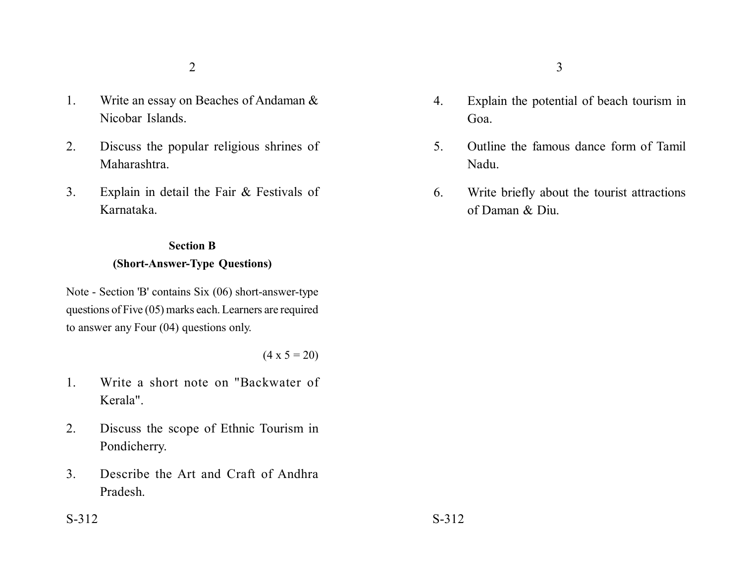- 1. Write an essay on Beaches of Andaman & Nicobar Islands.
- 2. Discuss the popular religious shrines of Maharashtra.
- 3. Explain in detail the Fair & Festivals of Karnataka.

## **Section B (Short-Answer-Type Questions)**

Note - Section 'B' contains Six (06) short-answer-type questions of Five (05) marks each. Learners are required to answer any Four (04) questions only.

 $(4 \times 5 = 20)$ 

- 1. Write a short note on "Backwater of Kerala".
- 2. Discuss the scope of Ethnic Tourism in Pondicherry.
- 3. Describe the Art and Craft of Andhra Pradesh.
- 4. Explain the potential of beach tourism in Goa.
- 5. Outline the famous dance form of Tamil Nadu.
- 6. Write briefly about the tourist attractions of Daman & Diu.

 $S-312$   $S-312$